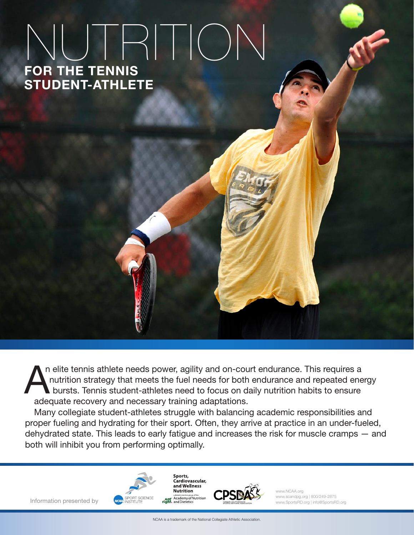# FOR THE TENNIS NUTRITION STUDENT-ATHLETE

n elite tennis athlete needs power, agility and on-court endurance. This requires a nutrition strategy that meets the fuel needs for both endurance and repeated energy bursts. Tennis student-athletes need to focus on daily nutrition habits to ensure adequate recovery and necessary training adaptations. A

Many collegiate student-athletes struggle with balancing academic responsibilities and proper fueling and hydrating for their sport. Often, they arrive at practice in an under-fueled, dehydrated state. This leads to early fatigue and increases the risk for muscle cramps — and both will inhibit you from performing optimally.

Information presented by





www.NCAA.org www.scandpg.org | 800/249-2875 www.SportsRD.org | info@SportsRD.org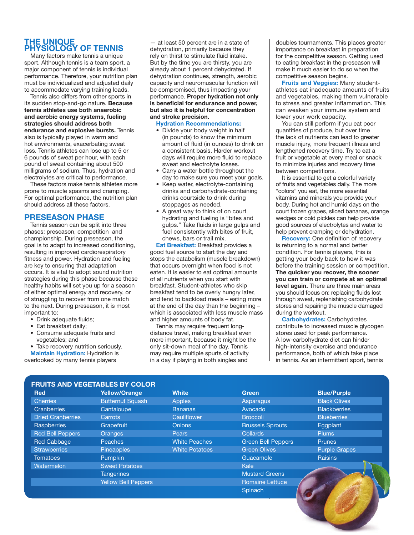## THE UNIQUE PHYSIOLOGY OF TENNIS

Many factors make tennis a unique sport. Although tennis is a team sport, a major component of tennis is individual performance. Therefore, your nutrition plan must be individualized and adjusted daily to accommodate varying training loads.

Tennis also differs from other sports in its sudden stop-and-go nature. Because tennis athletes use both anaerobic and aerobic energy systems, fueling strategies should address both endurance and explosive bursts. Tennis also is typically played in warm and hot environments, exacerbating sweat loss. Tennis athletes can lose up to 5 or 6 pounds of sweat per hour, with each pound of sweat containing about 500 milligrams of sodium. Thus, hydration and electrolytes are critical to performance.

These factors make tennis athletes more prone to muscle spasms and cramping. For optimal performance, the nutrition plan should address all these factors.

## PRESEASON PHASE

Tennis season can be split into three phases: preseason, competition and championship. During preseason, the goal is to adapt to increased conditioning, resulting in improved cardiorespiratory fitness and power. Hydration and fueling are key to ensuring that adaptation occurs. It is vital to adopt sound nutrition strategies during this phase because these healthy habits will set you up for a season of either optimal energy and recovery, or of struggling to recover from one match to the next. During preseason, it is most important to:

- Drink adequate fluids;
- Eat breakfast daily;
- Consume adequate fruits and vegetables; and

• Take recovery nutrition seriously.

**Maintain Hydration: Hydration is** overlooked by many tennis players

— at least 50 percent are in a state of dehydration, primarily because they rely on thirst to stimulate fluid intake. But by the time you are thirsty, you are already about 1 percent dehydrated. If dehydration continues, strength, aerobic capacity and neuromuscular function will be compromised, thus impacting your performance. Proper hydration not only is beneficial for endurance and power, but also it is helpful for concentration and stroke precision.

Hydration Recommendations:

- Divide your body weight in half (in pounds) to know the minimum amount of fluid (in ounces) to drink on a consistent basis. Harder workout days will require more fluid to replace sweat and electrolyte losses.
- Carry a water bottle throughout the day to make sure you meet your goals.
- Keep water, electrolyte-containing drinks and carbohydrate-containing drinks courtside to drink during stoppages as needed.
- A great way to think of on court hydrating and fueling is "bites and gulps." Take fluids in large gulps and fuel consistently with bites of fruit, chews, bars or trail mix.

Eat Breakfast: Breakfast provides a good fuel source to start the day and stops the catabolism (muscle breakdown) that occurs overnight when food is not eaten. It is easier to eat optimal amounts of all nutrients when you start with breakfast. Student-athletes who skip breakfast tend to be overly hungry later, and tend to backload meals – eating more at the end of the day than the beginning – which is associated with less muscle mass and higher amounts of body fat.

Tennis may require frequent longdistance travel, making breakfast even more important, because it might be the only sit-down meal of the day. Tennis may require multiple spurts of activity in a day if playing in both singles and

doubles tournaments. This places greater importance on breakfast in preparation for the competitive season. Getting used to eating breakfast in the preseason will make it much easier to do so when the competitive season begins.

Fruits and Veggies: Many studentathletes eat inadequate amounts of fruits and vegetables, making them vulnerable to stress and greater inflammation. This can weaken your immune system and lower your work capacity.

You can still perform if you eat poor quantities of produce, but over time the lack of nutrients can lead to greater muscle injury, more frequent illness and lengthened recovery time. Try to eat a fruit or vegetable at every meal or snack to minimize injuries and recovery time between competitions.

It is essential to get a colorful variety of fruits and vegetables daily. The more "colors" you eat, the more essential vitamins and minerals you provide your body. During hot and humid days on the court frozen grapes, sliced bananas, orange wedges or cold pickles can help provide good sources of electrolytes and water to help prevent cramping or dehydration.

**Recovery:** One definition of recovery is returning to a normal and better condition. For tennis players, this is getting your body back to how it was before the training session or competition. The quicker you recover, the sooner you can train or compete at an optimal

level again. There are three main areas you should focus on: replacing fluids lost through sweat, replenishing carbohydrate stores and repairing the muscle damaged during the workout.

Carbohydrates: Carbohydrates contribute to increased muscle glycogen stores used for peak performance. A low-carbohydrate diet can hinder high-intensity exercise and endurance performance, both of which take place in tennis. As an intermittent sport, tennis

| <b>FRUITS AND VEGETABLES BY COLOR</b> |                            |                       |                           |                      |
|---------------------------------------|----------------------------|-----------------------|---------------------------|----------------------|
| <b>Red</b>                            | <b>Yellow/Orange</b>       | <b>White</b>          | Green                     | <b>Blue/Purple</b>   |
| <b>Cherries</b>                       | <b>Butternut Squash</b>    | <b>Apples</b>         | Asparagus                 | <b>Black Olives</b>  |
| Cranberries                           | Cantaloupe                 | <b>Bananas</b>        | Avocado                   | <b>Blackberries</b>  |
| <b>Dried Cranberries</b>              | Carrots                    | Cauliflower           | <b>Broccoli</b>           | <b>Blueberries</b>   |
| Raspberries                           | Grapefruit                 | <b>Onions</b>         | <b>Brussels Sprouts</b>   | Eqaplant             |
| <b>Red Bell Peppers</b>               | <b>Oranges</b>             | <b>Pears</b>          | <b>Collards</b>           | <b>Plums</b>         |
| <b>Red Cabbage</b>                    | <b>Peaches</b>             | <b>White Peaches</b>  | <b>Green Bell Peppers</b> | <b>Prunes</b>        |
| <b>Strawberries</b>                   | <b>Pineapples</b>          | <b>White Potatoes</b> | <b>Green Olives</b>       | <b>Purple Grapes</b> |
| <b>Tomatoes</b>                       | Pumpkin                    |                       | Guacamole                 | <b>Raisins</b>       |
| Watermelon                            | <b>Sweet Potatoes</b>      |                       | <b>Kale</b>               |                      |
|                                       | <b>Tangerines</b>          |                       | <b>Mustard Greens</b>     |                      |
|                                       | <b>Yellow Bell Peppers</b> |                       | <b>Romaine Lettuce</b>    |                      |
|                                       |                            |                       | Spinach                   |                      |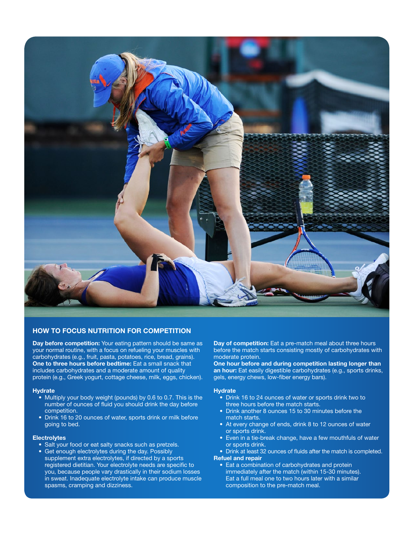

## HOW TO FOCUS NUTRITION FOR COMPETITION

Day before competition: Your eating pattern should be same as your normal routine, with a focus on refueling your muscles with carbohydrates (e.g., fruit, pasta, potatoes, rice, bread, grains). One to three hours before bedtime: Eat a small snack that includes carbohydrates and a moderate amount of quality protein (e.g., Greek yogurt, cottage cheese, milk, eggs, chicken).

### **Hydrate**

- Multiply your body weight (pounds) by 0.6 to 0.7. This is the number of ounces of fluid you should drink the day before competition.
- Drink 16 to 20 ounces of water, sports drink or milk before going to bed.

#### **Electrolytes**

- Salt your food or eat salty snacks such as pretzels.
- Get enough electrolytes during the day. Possibly supplement extra electrolytes, if directed by a sports registered dietitian. Your electrolyte needs are specific to you, because people vary drastically in their sodium losses in sweat. Inadequate electrolyte intake can produce muscle spasms, cramping and dizziness.

Day of competition: Eat a pre-match meal about three hours before the match starts consisting mostly of carbohydrates with moderate protein.

One hour before and during competition lasting longer than an hour: Eat easily digestible carbohydrates (e.g., sports drinks, gels, energy chews, low-fiber energy bars).

#### **Hydrate**

- Drink 16 to 24 ounces of water or sports drink two to three hours before the match starts.
- Drink another 8 ounces 15 to 30 minutes before the match starts.
- At every change of ends, drink 8 to 12 ounces of water or sports drink.
- Even in a tie-break change, have a few mouthfuls of water or sports drink.
- Drink at least 32 ounces of fluids after the match is completed. Refuel and repair
	- Eat a combination of carbohydrates and protein immediately after the match (within 15-30 minutes). Eat a full meal one to two hours later with a similar composition to the pre-match meal.